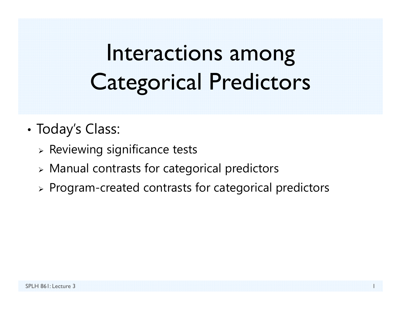# Interactions among Categorical Predictors

- • Today's Class:
	- $\triangleright$  Reviewing significance tests
	- Manual contrasts for categorical predictors
	- $\triangleright$  Program-created contrasts for categorical predictors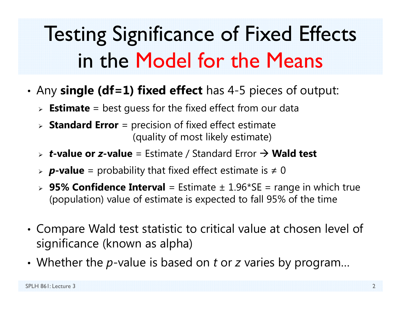# Testing Significance of Fixed Effects in the Model for the Means

- • Any **single (df=1) fixed effect** has 4-5 pieces of output:
	- **Estimate** = best guess for the fixed effect from our data
	- **Standard Error** = precision of fixed effect estimate (quality of most likely estimate)
	- > **t-value or z-value** = Estimate / Standard Error  $\rightarrow$  **Wald test**
	- *p***-value** = probability that fixed effect estimate is ≠ 0
	- **95% Confidence Interval** = Estimate ± 1.96\*SE = range in which true (population) value of estimate is expected to fall 95% of the time
- • Compare Wald test statistic to critical value at chosen level of significance (known as alpha)
- Whether the p-value is based on t or z varies by program...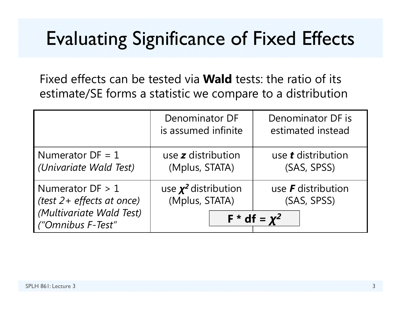## Evaluating Significance of Fixed Effects

Fixed effects can be tested via **Wald** tests: the ratio of its estimate/SE forms a statistic we compare to a distribution

|                                                                                                  | <b>Denominator DF</b><br>is assumed infinite | Denominator DF is<br>estimated instead                     |
|--------------------------------------------------------------------------------------------------|----------------------------------------------|------------------------------------------------------------|
| Numerator $DF = 1$<br>(Univariate Wald Test)                                                     | use z distribution<br>(Mplus, STATA)         | use <b>t</b> distribution<br>(SAS, SPSS)                   |
| Numerator $DF > 1$<br>(test 2+ effects at once)<br>(Multivariate Wald Test)<br>("Omnibus F-Test" | use $\chi^2$ distribution<br>(Mplus, STATA)  | use $\bm{F}$ distribution<br>(SAS, SPSS)<br>$F * df = x^2$ |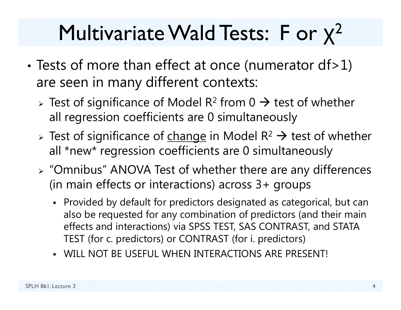#### Multivariate Wald Tests: F or χ 2

- •• Tests of more than effect at once (numerator df>1) are seen in many different contexts:
	- > Test of significance of Model R<sup>2</sup> from 0  $\rightarrow$  test of whether all regression coefficients are 0 simultaneously
	- > Test of significance of change in Model R<sup>2</sup>  $\rightarrow$  test of whether all \*new\* regression coefficients are 0 simultaneously
	- "Omnibus" ANOVA Test of whether there are any differences (in main effects or interactions) across 3+ groups
		- Provided by default for predictors designated as categorical, but can also be requested for any combination of predictors (and their main effects and interactions) via SPSS TEST, SAS CONTRAST, and STATA TEST (for c. predictors) or CONTRAST (for i. predictors)
		- WILL NOT BE USEFUL WHEN INTERACTIONS ARE PRESENT!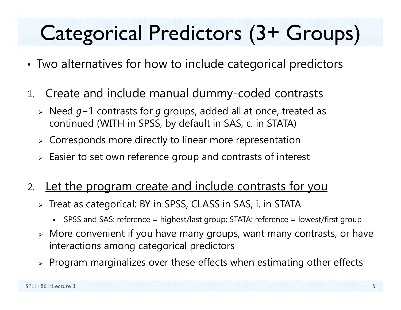# Categorical Predictors (3+ Groups)

- •Two alternatives for how to include categorical predictors
- 1. Create and include manual dummy-coded contrasts
	- > Need g−1 contrasts for g groups, added all at once, treated as continued (WITH in SPSS, by default in SAS, c. in STATA)
	- $\triangleright$  Corresponds more directly to linear more representation
	- $\triangleright$  Easier to set own reference group and contrasts of interest
- 2.Let the program create and include contrasts for you
	- Treat as categorical: BY in SPSS, CLASS in SAS, i. in STATA
		- n SPSS and SAS: reference = highest/last group; STATA: reference = lowest/first group
	- $\triangleright$  More convenient if you have many groups, want many contrasts, or have interactions among categorical predictors
	- $\triangleright$  Program marginalizes over these effects when estimating other effects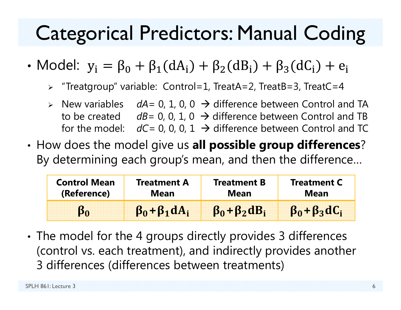## Categorical Predictors: Manual Coding

- Model:  $y_i = \beta_0 + \beta_1(dA_i) + \beta_2(dB_i) + \beta_3(dC_i) + e_i$ 
	- "Treatgroup" variable: Control=1, TreatA=2, TreatB=3, TreatC=4
	- $\triangleright$  New variables  $dA = 0, 1, 0, 0 \rightarrow$  difference between Control and TA to be created a *dB*= 0, 0, 1, 0 → difference between Control and TB for the model:  $dC=$  0, 0, 0, 1  $\rightarrow$  difference between Control and TC
- • How does the model give us **all possible group differences**? By determining each group's mean, and then the difference…

| <b>Control Mean</b> | <b>Treatment A</b>       | <b>Treatment B</b>       | <b>Treatment C</b>       |  |  |
|---------------------|--------------------------|--------------------------|--------------------------|--|--|
| (Reference)         | Mean                     | <b>Mean</b>              | Mean                     |  |  |
|                     | $\beta_0 + \beta_1 dA_i$ | $\beta_0 + \beta_2 dB_i$ | $\beta_0 + \beta_3 dC_i$ |  |  |

• The model for the 4 groups directly provides 3 differences (control vs. each treatment), and indirectly provides another 3 differences (differences between treatments)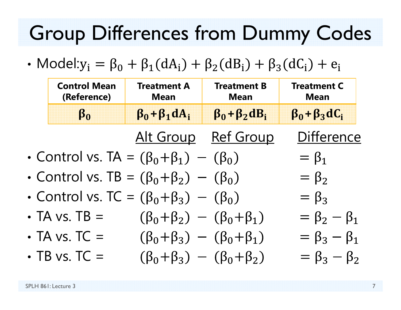## Group Differences from Dummy Codes

• Model: $y_i = \beta_0 + \beta_1(dA_i) + \beta_2(dB_i) + \beta_3(dC_i) + e_i$ 

| <b>Control Mean</b><br>(Reference) | <b>Treatment A</b><br><b>Mean</b>                    | <b>Treatment B</b><br><b>Mean</b> | <b>Treatment C</b><br><b>Mean</b> |
|------------------------------------|------------------------------------------------------|-----------------------------------|-----------------------------------|
| $\beta_0$                          | $\beta_0 + \beta_1 dA_i$                             | $\beta_0 + \beta_2 dB_i$          | $\beta_0 + \beta_3 dC_i$          |
|                                    |                                                      | Alt Group Ref Group               | <b>Difference</b>                 |
|                                    | • Control vs. TA = $(\beta_0 + \beta_1) - (\beta_0)$ |                                   | $=\beta_1$                        |
|                                    | • Control vs. TB = $(\beta_0 + \beta_2) - (\beta_0)$ |                                   | $=\beta_2$                        |
|                                    | • Control vs. TC = $(\beta_0 + \beta_3) - (\beta_0)$ |                                   | $=\beta_3$                        |
| $\cdot$ TA vs. TB =                | $(\beta_0 + \beta_2) - (\beta_0 + \beta_1)$          |                                   | $= \beta_2 - \beta_1$             |
| $\cdot$ TA vs. TC =                | $(\beta_0 + \beta_3) - (\beta_0 + \beta_1)$          |                                   | $= \beta_3 - \beta_1$             |
| $\cdot$ TB vs. TC =                | $(\beta_0 + \beta_3) - (\beta_0 + \beta_2)$          |                                   | $= \beta_3 - \beta_2$             |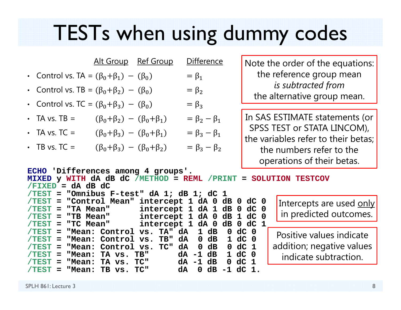## TESTs when using dummy codes

|                                                                                                                        |                                             | <u>Alt Group Ref Group</u>      | <b>Difference</b>                                   |                                                                   | Note the order of the equations:                                   |
|------------------------------------------------------------------------------------------------------------------------|---------------------------------------------|---------------------------------|-----------------------------------------------------|-------------------------------------------------------------------|--------------------------------------------------------------------|
| • Control vs. TA = $(\beta_0 + \beta_1) - (\beta_0)$                                                                   |                                             |                                 | $= \beta_1$                                         |                                                                   | the reference group mean                                           |
| • Control vs. TB = $(\beta_0 + \beta_2) - (\beta_0)$                                                                   |                                             |                                 | $= \beta_2$                                         |                                                                   | is subtracted from<br>the alternative group mean.                  |
| • Control vs. TC = $(\beta_0 + \beta_3) - (\beta_0)$                                                                   |                                             |                                 | $= \beta_3$                                         |                                                                   |                                                                    |
| $\cdot$ TA vs. TB =                                                                                                    | $(\beta_0 + \beta_2) - (\beta_0 + \beta_1)$ |                                 | $= \beta_2 - \beta_1$                               |                                                                   | In SAS ESTIMATE statements (or                                     |
| $\cdot$ TA vs. TC =                                                                                                    | $(\beta_0 + \beta_3) - (\beta_0 + \beta_1)$ |                                 | $= \beta_3 - \beta_1$                               |                                                                   | SPSS TEST or STATA LINCOM),<br>the variables refer to their betas: |
| $\cdot$ TB vs. TC =                                                                                                    | $(\beta_0 + \beta_3) - (\beta_0 + \beta_2)$ |                                 | $= \beta_3 - \beta_2$                               |                                                                   | the numbers refer to the                                           |
|                                                                                                                        |                                             |                                 |                                                     |                                                                   | operations of their betas.                                         |
| ECHO 'Differences among 4 groups'.<br>MIXED y WITH dA dB dC /METHOD = REML<br>$/FIXED = dA dB dC$<br>/TEST<br>$\equiv$ |                                             |                                 | /PRINT<br>"Omnibus F-test" dA 1; dB 1; dC 1         | $=$                                                               | SOLUTION TESTCOV                                                   |
| $/$ TEST                                                                                                               |                                             | "Control Mean" intercept 1 dA 0 |                                                     | dB<br>$0$ dC $0$                                                  | Intercepts are used only                                           |
| "TA Mean"<br>$/$ TEST<br>$=$<br>"TB Mean"<br>$/$ TEST<br>$=$                                                           |                                             |                                 | intercept 1 dA 1<br>intercept 1 dA 0                | dB<br>dC 0<br>$\mathbf 0$<br>dB 1<br>dC<br>- 0                    | in predicted outcomes.                                             |
| "TC Mean"<br>$/$ TEST<br>$\equiv$                                                                                      |                                             | intercept 1 dA 0                |                                                     | $0 \, dC$<br>dB                                                   |                                                                    |
| /TEST<br>$=$                                                                                                           | "Mean: Control vs.                          | TA" dA                          | $\mathbf{1}$<br>dB                                  | $dC$ 0<br>$\mathbf 0$                                             | Positive values indicate                                           |
| $/$ TEST<br>"Mean:<br>$=$<br>/TEST<br>$=$                                                                              | Control<br>"Mean: Control vs.               | TB"<br>VS.<br>TC"               | $\mathbf{0}$<br>dB<br>dA<br>dB<br>dA<br>$\mathbf 0$ | dC <sub>0</sub><br>$\mathbf 1$<br>dC <sub>1</sub><br>$\mathbf{0}$ | addition; negative values                                          |
| $/TEST = "Mean: TA vs. TB"$                                                                                            |                                             |                                 | dA -1<br>dB                                         | $dC$ 0<br>$\mathbf 1$                                             | indicate subtraction.                                              |

**/TEST <sup>=</sup>"Mean: TA vs. TC" dA -1 dB 0 dC 1 /TEST <sup>=</sup>"Mean: TB vs. TC" dA 0 dB -1 dC 1.**

SPLH 861: Lecture 3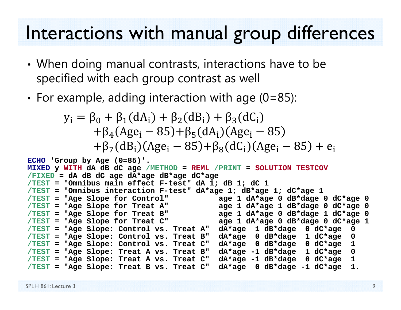#### Interactions with manual group differences

- • When doing manual contrasts, interactions have to be specified with each group contrast as well
- • $\bm{\cdot}$  For example, adding interaction with age (0=85):

$$
y_{i} = \beta_{0} + \beta_{1}(dA_{i}) + \beta_{2}(dB_{i}) + \beta_{3}(dC_{i})
$$
  
+  $\beta_{4}(Age_{i} - 85) + \beta_{5}(dA_{i})(Age_{i} - 85)$   
+  $\beta_{7}(dB_{i})(Age_{i} - 85) + \beta_{8}(dC_{i})(Age_{i} - 85) + e_{i}$ 

```
ECHO 'Group by Age (0=85)'. 
MIXED y WITH dA dB dC age /METHOD = REML /PRINT = SOLUTION TESTCOV
/FIXED = dA dB dC age dA*age dB*age dC*age
/TEST ="Omnibus main effect F-test" dA 1; dB 1; dC 1
/TEST ="Omnibus interaction F-test" dA*age 1; dB*age 1; dC*age 1
/TEST ="Age Slope for Control" age 1 dA*age 0 dB*dage 0 dC*age 0
/TEST ="Age Slope for Treat A" age 1 dA*age 1 dB*dage 0 dC*age 0
/TEST ="Age Slope for Treat B" age 1 dA*age 0 dB*dage 1 dC*age 0
/TEST ="Age Slope for Treat C" age 1 dA*age 0 dB*dage 0 dC*age 1
/TEST ="Age Slope: Control vs. Treat A" dA*age 1 dB*dage 0 dC*age 0
/TEST ="Age Slope: Control vs. Treat B" dA*age 0 dB*dage 1 dC*age 0
/TEST ="Age Slope: Control vs. Treat C" dA*age 0 dB*dage 0 dC*age 1
/TEST ="Age Slope: Treat A vs. Treat B" dA*age -1 dB*dage 1 dC*age 0 
/TEST ="Age Slope: Treat A vs. Treat C" dA*age -1 dB*dage 0 dC*age 1 
/TEST ="Age Slope: Treat B vs. Treat C" dA*age 0 dB*dage -1 dC*age 1.
```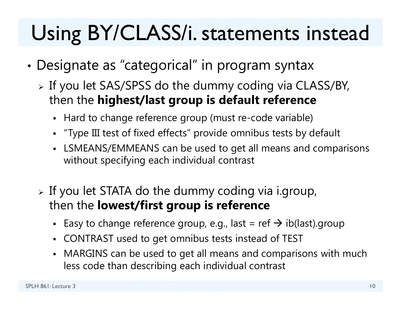# Using BY/CLASS/i. statements instead

- • Designate as "categorical" in program syntax
	- $\triangleright$  If you let SAS/SPSS do the dummy coding via CLASS/BY, then the **highest/last group is default reference**
		- Hard to change reference group (must re-code variable)
		- "Type III test of fixed effects" provide omnibus tests by default
		- LSMEANS/EMMEANS can be used to get all means and comparisons without specifying each individual contrast
	- $\triangleright$  If you let STATA do the dummy coding via i.group, then the **lowest/first group is reference** 
		- - Easy to change reference group, e.g., last = ref  $\bm{\rightarrow}$  ib(last).group
		- CONTRAST used to get omnibus tests instead of TEST
		- MARGINS can be used to get all means and comparisons with much less code than describing each individual contrast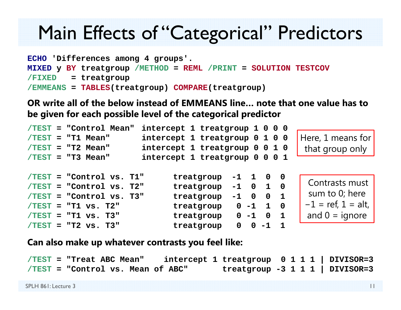#### Main Effects of "Categorical" Predictors

```
ECHO 'Differences among 4 groups'. 
MIXED y BY treatgroup /METHOD = REML /PRINT = SOLUTION TESTCOV
/FIXED = treatgroup
/EMMEANS = TABLES(treatgroup) COMPARE(treatgroup)
```
**OR write all of the below instead of EMMEANS line… note that one value has to be given for each possible level of the categorical predictor**

|  | /TEST = "Control Mean"     | intercept 1 treatgroup 1 0 0 0 |                                                              |                         |                      |
|--|----------------------------|--------------------------------|--------------------------------------------------------------|-------------------------|----------------------|
|  | $/TEST = "T1 Mean"$        | intercept 1 treatgroup 0 1 0 0 |                                                              |                         | Here, 1 means for    |
|  | $/TEST = "T2 Mean"$        | intercept 1 treatgroup 0 0 1 0 |                                                              |                         | that group only      |
|  | $/TEST = "T3 Mean"$        | intercept 1 treatgroup 0 0 0 1 |                                                              |                         |                      |
|  |                            |                                |                                                              |                         |                      |
|  | $/TEST = "Control vs. TI"$ | treatgroup                     | $-1$ 1 0 0                                                   |                         |                      |
|  | $/TEST = "Control vs. T2"$ | treatgroup                     | $1\quad 0$<br>$-1$ 0                                         |                         | Contrasts must       |
|  | $/TEST = "Control vs. T3"$ | treatgroup                     | $\overline{\mathbf{0}}$<br>$\overline{\mathbf{1}}$<br>$-1$ 0 |                         | sum to 0; here       |
|  | $/TEST = T1 vs. T2"$       | treatgroup                     | $0 -1 1$                                                     | $\overline{\mathbf{0}}$ | $-1$ = ref, 1 = alt, |
|  | $/TEST = T1 vs. T3"$       | treatgroup $0 -1 0$            | $\blacksquare$                                               |                         | and $0 =$ ignore     |
|  | $/TEST = T2 vs. T3"$       | treatgroup                     | $0 - 1$<br>$\mathbf{O}$                                      |                         |                      |

**Can also make up whatever contrasts you feel like:**

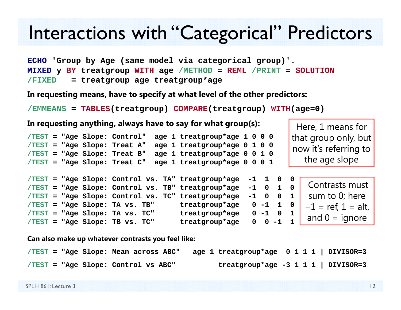#### Interactions with "Categorical" Predictors

**ECHO 'Group by Age (same model via categorical group)'. MIXED y BY treatgroup WITH age /METHOD = REML /PRINT = SOLUTION /FIXED = treatgroup age treatgroup\*age**

**In requesting means, have to specify at what level of the other predictors:**

```
/EMMEANS = TABLES(treatgroup) COMPARE(treatgroup) WITH(age=0)
```

| In requesting anything, always have to say for what group(s): |  |  |  |                                                    |                              |                | Here, 1 means for |                         |                       |
|---------------------------------------------------------------|--|--|--|----------------------------------------------------|------------------------------|----------------|-------------------|-------------------------|-----------------------|
|                                                               |  |  |  | /TEST = "Age Slope: Control"                       | age 1 treatgroup*age 1 0 0 0 |                |                   |                         | that group only, but  |
|                                                               |  |  |  | /TEST = "Age Slope: Treat A"                       | age 1 treatgroup*age 0 1 0 0 |                |                   |                         | now it's referring to |
|                                                               |  |  |  | /TEST = "Age Slope: Treat B"                       | age 1 treatgroup*age 0 0 1 0 |                |                   |                         |                       |
|                                                               |  |  |  | /TEST = "Age Slope: Treat C"                       | age 1 treatgroup*age 0 0 0 1 |                |                   |                         | the age slope         |
|                                                               |  |  |  |                                                    |                              |                |                   |                         |                       |
|                                                               |  |  |  | /TEST = "Age Slope: Control vs. TA" treatgroup*age |                              | $-1 \quad 1$   | $\mathbf 0$       | $\overline{\mathbf{0}}$ | Contrasts must        |
|                                                               |  |  |  | /TEST = "Age Slope: Control vs. TB" treatgroup*age |                              | $-1$ 0         | $1\quad 0$        |                         |                       |
|                                                               |  |  |  | /TEST = "Age Slope: Control vs. TC" treatgroup*age |                              | $-1$ 0         | $0\quad 1$        |                         | sum to 0; here        |
|                                                               |  |  |  | /TEST = "Age Slope: TA vs. TB"                     | treatgroup*age               | $0 -1 1 0$     |                   |                         | $-1$ = ref, 1 = alt,  |
|                                                               |  |  |  | /TEST = "Age Slope: TA vs. TC"                     | treatgroup*age               | $0 - 1 0 1$    |                   |                         | and $0 =$ ignore      |
|                                                               |  |  |  | /TEST = "Age Slope: TB vs. TC"                     | treatgroup*age               | $0 \t 0 \t -1$ |                   | 1                       |                       |

**Can also make up whatever contrasts you feel like:**

|  | $/TEST = "Age Slope: Mean across ABC"$ |  |  | age 1 treatgroup*age $0 1 1 1$   DIVISOR=3 |  |  |  |
|--|----------------------------------------|--|--|--------------------------------------------|--|--|--|
|  | /TEST = "Age Slope: Control vs ABC"    |  |  | treatgroup*age -3 1 1 1   DIVISOR=3        |  |  |  |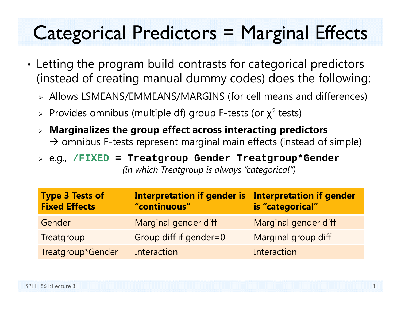## Categorical Predictors = Marginal Effects

- • Letting the program build contrasts for categorical predictors (instead of creating manual dummy codes) does the following:
	- Allows LSMEANS/EMMEANS/MARGINS (for cell means and differences)
	- $\triangleright$  Provides omnibus (multiple df) group F-tests (or  $\chi^2$  tests)
	- **Marginalizes the group effect across interacting predictors**   $\rightarrow$  omnibus F-tests represent marginal main effects (instead of simple)
	- e.g., **/FIXED = Treatgroup Gender Treatgroup\*Gender** *(in which Treatgroup is always "categorical")*

| <b>Type 3 Tests of</b><br><b>Fixed Effects</b> | <b>Interpretation if gender is</b><br>"continuous" | Interpretation if gender<br>is "categorical" |
|------------------------------------------------|----------------------------------------------------|----------------------------------------------|
| Gender                                         | Marginal gender diff                               | Marginal gender diff                         |
| Treatgroup                                     | Group diff if gender=0                             | Marginal group diff                          |
| Treatgroup*Gender                              | Interaction                                        | Interaction                                  |